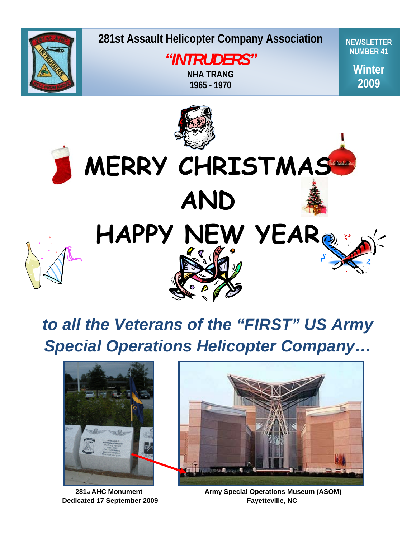

# **281st Assault Helicopter Company Association**

**Spring 2009** *"INTRUDERS"*  **NHA TRANG 1965 - 1970** 

**NEWSLETTER NUMBER 41** 

> **Winter 2009**



# *to all the Veterans of the "FIRST" US Army Special Operations Helicopter Company…*





 **281st AHC Monument Army Special Operations Museum (ASOM)**  Dedicated 17 September 2009 **Fayetteville, NC**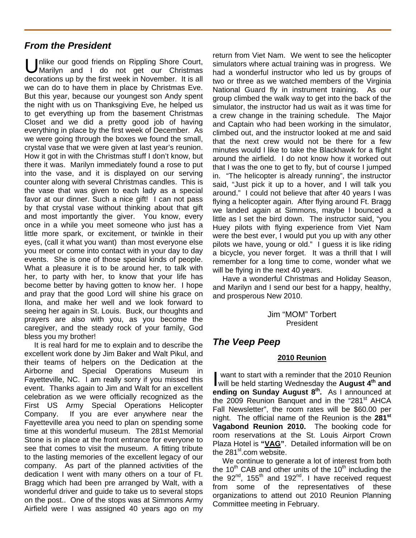# *From the President*

Unlike our good friends on Rippling Shore Court,<br>
Marilyn and I do not get our Christmas Marilyn and I do not get our Christmas decorations up by the first week in November. It is all we can do to have them in place by Christmas Eve. But this year, because our youngest son Andy spent the night with us on Thanksgiving Eve, he helped us to get everything up from the basement Christmas Closet and we did a pretty good job of having everything in place by the first week of December. As we were going through the boxes we found the small, crystal vase that we were given at last year's reunion. How it got in with the Christmas stuff I don't know, but there it was. Marilyn immediately found a rose to put into the vase, and it is displayed on our serving counter along with several Christmas candles. This is the vase that was given to each lady as a special favor at our dinner. Such a nice gift! I can not pass by that crystal vase without thinking about that gift and most importantly the giver. You know, every once in a while you meet someone who just has a little more spark, or excitement, or twinkle in their eyes, (call it what you want) than most everyone else you meet or come into contact with in your day to day events. She is one of those special kinds of people. What a pleasure it is to be around her, to talk with her, to party with her, to know that your life has become better by having gotten to know her. I hope and pray that the good Lord will shine his grace on Ilona, and make her well and we look forward to seeing her again in St. Louis. Buck, our thoughts and prayers are also with you, as you become the caregiver, and the steady rock of your family, God bless you my brother!

It is real hard for me to explain and to describe the excellent work done by Jim Baker and Walt Pikul, and their teams of helpers on the Dedication at the Airborne and Special Operations Museum in Fayetteville, NC. I am really sorry if you missed this event. Thanks again to Jim and Walt for an excellent celebration as we were officially recognized as the First US Army Special Operations Helicopter Company. If you are ever anywhere near the Fayetteville area you need to plan on spending some time at this wonderful museum. The 281st Memorial Stone is in place at the front entrance for everyone to see that comes to visit the museum. A fitting tribute to the lasting memories of the excellent legacy of our company. As part of the planned activities of the dedication I went with many others on a tour of Ft. Bragg which had been pre arranged by Walt, with a wonderful driver and guide to take us to several stops on the post.. One of the stops was at Simmons Army Airfield were I was assigned 40 years ago on my

return from Viet Nam. We went to see the helicopter simulators where actual training was in progress. We had a wonderful instructor who led us by groups of two or three as we watched members of the Virginia National Guard fly in instrument training. As our group climbed the walk way to get into the back of the simulator, the instructor had us wait as it was time for a crew change in the training schedule. The Major and Captain who had been working in the simulator, climbed out, and the instructor looked at me and said that the next crew would not be there for a few minutes would I like to take the Blackhawk for a flight around the airfield. I do not know how it worked out that I was the one to get to fly, but of course I jumped in. "The helicopter is already running", the instructor said, "Just pick it up to a hover, and I will talk you around." I could not believe that after 40 years I was flying a helicopter again. After flying around Ft. Bragg we landed again at Simmons, maybe I bounced a little as I set the bird down. The instructor said, "you Huey pilots with flying experience from Viet Nam were the best ever, I would put you up with any other pilots we have, young or old." I guess it is like riding a bicycle, you never forget. It was a thrill that I will remember for a long time to come, wonder what we will be flying in the next 40 years.

Have a wonderful Christmas and Holiday Season, and Marilyn and I send our best for a happy, healthy, and prosperous New 2010.

> Jim "MOM" Torbert President

## *The Veep Peep*

#### **2010 Reunion**

 want to start with a reminder that the 2010 Reunion want to start with a reminder that the 2010 Reunion<br>will be held starting Wednesday the **August 4<sup>th</sup> and ending on Sunday August 8th.** As I announced at the 2009 Reunion Banquet and in the "281<sup>st</sup> AHCA Fall Newsletter", the room rates will be \$60.00 per night. The official name of the Reunion is the **281st Vagabond Reunion 2010.** The booking code for room reservations at the St. Louis Airport Crown Plaza Hotel is **"VAG"**. Detailed information will be on the  $281^{st}$  com website.

We continue to generate a lot of interest from both the 10<sup>th</sup> CAB and other units of the 10<sup>th</sup> including the the  $92^{nd}$ , 155<sup>th</sup> and 192<sup>nd</sup>. I have received request from some of the representatives of these organizations to attend out 2010 Reunion Planning Committee meeting in February.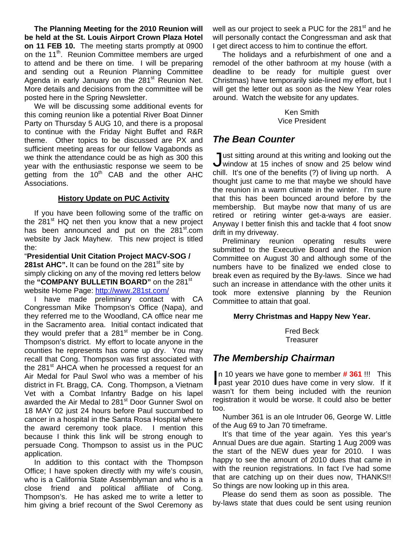**The Planning Meeting for the 2010 Reunion will be held at the St. Louis Airport Crown Plaza Hotel on 11 FEB 10.** The meeting starts promptly at 0900 on the 11<sup>th</sup>. Reunion Committee members are urged to attend and be there on time. I will be preparing and sending out a Reunion Planning Committee Agenda in early January on the 281<sup>st</sup> Reunion Net. More details and decisions from the committee will be posted here in the Spring Newsletter.

We will be discussing some additional events for this coming reunion like a potential River Boat Dinner Party on Thursday 5 AUG 10, and there is a proposal to continue with the Friday Night Buffet and R&R theme. Other topics to be discussed are PX and sufficient meeting areas for our fellow Vagabonds as we think the attendance could be as high as 300 this year with the enthusiastic response we seem to be getting from the  $10<sup>th</sup>$  CAB and the other AHC Associations.

#### **History Update on PUC Activity**

If you have been following some of the traffic on the  $281<sup>st</sup>$  HQ net then you know that a new project has been announced and put on the  $281<sup>st</sup>$ .com website by Jack Mayhew. This new project is titled the:

"**Presidential Unit Citation Project MACV-SOG / 281st AHC".** It can be found on the 281<sup>st</sup> site by simply clicking on any of the moving red letters below the **"COMPANY BULLETIN BOARD"** on the 281st website Home Page: <http://www.281st.com/>

I have made preliminary contact with CA Congressman Mike Thompson's Office (Napa), and they referred me to the Woodland, CA office near me in the Sacramento area. Initial contact indicated that they would prefer that a  $281<sup>st</sup>$  member be in Cong. Thompson's district. My effort to locate anyone in the counties he represents has come up dry. You may recall that Cong. Thompson was first associated with the 281<sup>st</sup> AHCA when he processed a request for an Air Medal for Paul Swol who was a member of his district in Ft. Bragg, CA. Cong. Thompson, a Vietnam Vet with a Combat Infantry Badge on his lapel awarded the Air Medal to 281st Door Gunner Swol on 18 MAY 02 just 24 hours before Paul succumbed to cancer in a hospital in the Santa Rosa Hospital where the award ceremony took place. I mention this because I think this link will be strong enough to persuade Cong. Thompson to assist us in the PUC application.

In addition to this contact with the Thompson Office; I have spoken directly with my wife's cousin, who is a California State Assemblyman and who is a close friend and political affiliate of Cong. Thompson's. He has asked me to write a letter to him giving a brief recount of the Swol Ceremony as well as our project to seek a PUC for the 281<sup>st</sup> and he will personally contact the Congressman and ask that I get direct access to him to continue the effort.

The holidays and a refurbishment of one and a remodel of the other bathroom at my house (with a deadline to be ready for multiple guest over Christmas) have temporarily side-lined my effort, but I will get the letter out as soon as the New Year roles around. Watch the website for any updates.

> Ken Smith Vice President

# *The Bean Counter*

Uust sitting around at this writing and looking out the window at 15 inches of snow and 25 below wind window at 15 inches of snow and 25 below wind chill. It's one of the benefits (?) of living up north. A thought just came to me that maybe we should have the reunion in a warm climate in the winter. I'm sure that this has been bounced around before by the membership. But maybe now that many of us are retired or retiring winter get-a-ways are easier. Anyway I better finish this and tackle that 4 foot snow drift in my driveway.

Preliminary reunion operating results were submitted to the Executive Board and the Reunion Committee on August 30 and although some of the numbers have to be finalized we ended close to break even as required by the By-laws. Since we had such an increase in attendance with the other units it took more extensive planning by the Reunion Committee to attain that goal.

#### **Merry Christmas and Happy New Year.**

Fred Beck **Treasurer** 

# *The Membership Chairman*

n 10 years we have gone to member **# 361** !!! This In 10 years we have gone to member #361 !!! This past year 2010 dues have come in very slow. If it wasn't for them being included with the reunion registration it would be worse. It could also be better too.

Number 361 is an ole Intruder 06, George W. Little of the Aug 69 to Jan 70 timeframe.

It's that time of the year again. Yes this year's Annual Dues are due again. Starting 1 Aug 2009 was the start of the NEW dues year for 2010. I was happy to see the amount of 2010 dues that came in with the reunion registrations. In fact I've had some that are catching up on their dues now, THANKS!! So things are now looking up in this area.

Please do send them as soon as possible. The by-laws state that dues could be sent using reunion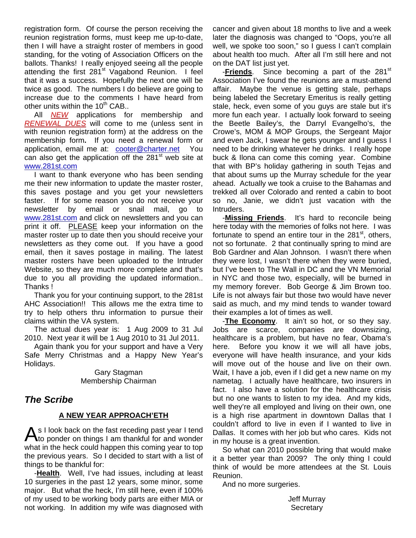registration form. Of course the person receiving the reunion registration forms, must keep me up-to-date, then I will have a straight roster of members in good standing, for the voting of Association Officers on the ballots. Thanks! I really enjoyed seeing all the people attending the first 281<sup>st</sup> Vagabond Reunion. I feel that it was a success. Hopefully the next one will be twice as good. The numbers I do believe are going to increase due to the comments I have heard from other units within the  $10^{th}$  CAB..

All *NEW* applications for membership and *RENEWAL DUES* will come to me (unless sent in with reunion registration form) at the address on the membership form**.** If you need a renewal form or application, email me at: **[cooter@charter.net](mailto:cooter@charter.net)** You can also get the application off the  $281<sup>st</sup>$  web site at [www.281st.com](http://www.281st.com/) 

I want to thank everyone who has been sending me their new information to update the master roster, this saves postage and you get your newsletters faster. If for some reason you do not receive your newsletter by email or snail mail, go to [www.281st.com](http://www.281st.com/) and click on newsletters and you can print it off. PLEASE keep your information on the master roster up to date then you should receive your newsletters as they come out. If you have a good email, then it saves postage in mailing. The latest master rosters have been uploaded to the Intruder Website, so they are much more complete and that's due to you all providing the updated information.. Thanks !

Thank you for your continuing support, to the 281st AHC Association!! This allows me the extra time to try to help others thru information to pursue their claims within the VA system.

The actual dues year is: 1 Aug 2009 to 31 Jul 2010. Next year it will be 1 Aug 2010 to 31 Jul 2011.

Again thank you for your support and have a Very Safe Merry Christmas and a Happy New Year's Holidays.

> Gary Stagman Membership Chairman

# *The Scribe*

## **A NEW YEAR APPROACH'ETH**

s I look back on the fast receding past year I tend As I look back on the fast receding past year I tend<br>A to ponder on things I am thankful for and wonder what in the heck could happen this coming year to top the previous years. So I decided to start with a list of things to be thankful for:

 -**Health**. Well, I've had issues, including at least 10 surgeries in the past 12 years, some minor, some major. But what the heck, I'm still here, even if 100% of my used to be working body parts are either MIA or not working. In addition my wife was diagnosed with cancer and given about 18 months to live and a week later the diagnosis was changed to "Oops, you're all well, we spoke too soon," so I guess I can't complain about health too much. After all I'm still here and not on the DAT list just yet.

 -**Friends**. Since becoming a part of the 281st Association I've found the reunions are a must-attend affair. Maybe the venue is getting stale, perhaps being labeled the Secretary Emeritus is really getting stale, heck, even some of you guys are stale but it's more fun each year. I actually look forward to seeing the Beetle Bailey's, the Darryl Evangelho's, the Crowe's, MOM & MOP Groups, the Sergeant Major and even Jack, I swear he gets younger and I guess I need to be drinking whatever he drinks. I really hope buck & Ilona can come this coming year. Combine that with BP's holiday gathering in south Tejas and that about sums up the Murray schedule for the year ahead. Actually we took a cruise to the Bahamas and trekked all over Colorado and rented a cabin to boot so no, Janie, we didn't just vacation with the Intruders.

 -**Missing Friends**. It's hard to reconcile being here today with the memories of folks not here. I was fortunate to spend an entire tour in the  $281<sup>st</sup>$ , others, not so fortunate. 2 that continually spring to mind are Bob Gardner and Alan Johnson. I wasn't there when they were lost, I wasn't there when they were buried, but I've been to The Wall in DC and the VN Memorial in NYC and those two, especially, will be burned in my memory forever. Bob George & Jim Brown too. Life is not always fair but those two would have never said as much, and my mind tends to wander toward their examples a lot of times as well.

 -**The Economy**. It ain't so hot, or so they say. Jobs are scarce, companies are downsizing, healthcare is a problem, but have no fear, Obama's here. Before you know it we will all have jobs, everyone will have health insurance, and your kids will move out of the house and live on their own. Wait, I have a job, even if I did get a new name on my nametag. I actually have healthcare, two insurers in fact. I also have a solution for the healthcare crisis but no one wants to listen to my idea. And my kids, well they're all employed and living on their own, one is a high rise apartment in downtown Dallas that I couldn't afford to live in even if I wanted to live in Dallas. It comes with her job but who cares. Kids not in my house is a great invention.

So what can 2010 possible bring that would make it a better year than 2009? The only thing I could think of would be more attendees at the St. Louis Reunion.

And no more surgeries.

Jeff Murray **Secretary**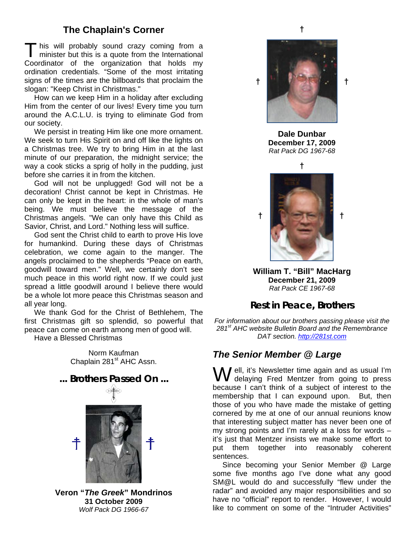# **The Chaplain's Corner**

This will probably sound crazy coming from a minister but this is a quote from the International minister but this is a quote from the International Coordinator of the organization that holds my ordination credentials. "Some of the most irritating signs of the times are the billboards that proclaim the slogan: "Keep Christ in Christmas."

How can we keep Him in a holiday after excluding Him from the center of our lives! Every time you turn around the A.C.L.U. is trying to eliminate God from our society.

We persist in treating Him like one more ornament. We seek to turn His Spirit on and off like the lights on a Christmas tree. We try to bring Him in at the last minute of our preparation, the midnight service; the way a cook sticks a sprig of holly in the pudding, just before she carries it in from the kitchen.

God will not be unplugged! God will not be a decoration! Christ cannot be kept in Christmas. He can only be kept in the heart: in the whole of man's being. We must believe the message of the Christmas angels. "We can only have this Child as Savior, Christ, and Lord." Nothing less will suffice.

God sent the Christ child to earth to prove His love for humankind. During these days of Christmas celebration, we come again to the manger. The angels proclaimed to the shepherds "Peace on earth, goodwill toward men." Well, we certainly don't see much peace in this world right now. If we could just spread a little goodwill around I believe there would be a whole lot more peace this Christmas season and all year long.

We thank God for the Christ of Bethlehem, The first Christmas gift so splendid, so powerful that peace can come on earth among men of good will.

Have a Blessed Christmas

Norm Kaufman Chaplain 281<sup>st</sup> AHC Assn.



**Veron "***The Greek***" Mondrinos 31 October 2009**  *Wolf Pack DG 1966-67* 



**Dale Dunbar December 17, 2009** *Rat Pack DG 1967-68* 

**†** 



**William T. "Bill" MacHarg December 21, 2009**  *Rat Pack CE 1967-68* 

# **Rest in Peace, Brothers**

*For information about our brothers passing please visit the 281st AHC website Bulletin Board and the Remembrance DAT section. [http://281st.com](http://281st.com/)*

# *The Senior Member @ Large*

**W** ell, it's Newsletter time again and as usual I'm delaying Fred Mentzer from going to press delaying Fred Mentzer from going to press because I can't think of a subject of interest to the membership that I can expound upon. But, then those of you who have made the mistake of getting cornered by me at one of our annual reunions know that interesting subject matter has never been one of my strong points and I'm rarely at a loss for words – it's just that Mentzer insists we make some effort to put them together into reasonably coherent sentences.

Since becoming your Senior Member @ Large some five months ago I've done what any good SM@L would do and successfully "flew under the radar" and avoided any major responsibilities and so have no "official" report to render. However, I would like to comment on some of the "Intruder Activities"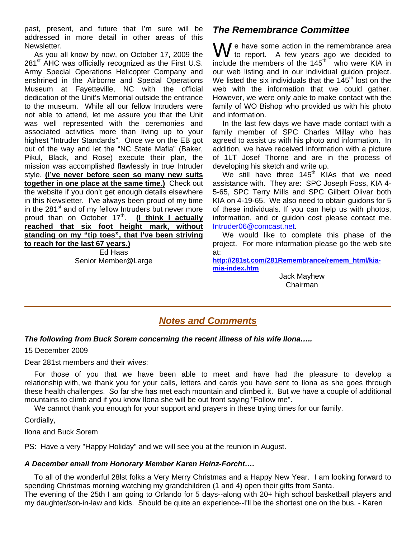past, present, and future that I'm sure will be *The Remembrance Committee*  addressed in more detail in other areas of this

281<sup>st</sup> AHC was officially recognized as the First U.S. As you all know by now, on October 17, 2009 the Army Special Operations Helicopter Company and enshrined in the Airborne and Special Operations Museum at Fayetteville, NC with the official dedication of the Unit's Memorial outside the entrance to the museum. While all our fellow Intruders were not able to attend, let me assure you that the Unit was well represented with the ceremonies and associated activities more than living up to your highest "Intruder Standards". Once we on the EB got out of the way and let the "NC State Mafia" (Baker, Pikul, Black, and Rose) execute their plan, the mission was accomplished flawlessly in true Intruder style. **(I've never before seen so many new suits together in one place at the same time.)** Check out the website if you don't get enough details elsewhere in this Newsletter. I've always been proud of my time in the  $281<sup>st</sup>$  and of my fellow Intruders but never more proud than on October 17<sup>th</sup>. **(I think I actually reached that six foot height mark, without standing on my "tip toes", that I've been striving to reach for the last 67 years.)** Ed Haas

Senior Member@Large

Newsletter.<br>As you all know by now, on October 17, 2009 the  $\sqrt{V}$  e have some action in the remembrance area As you all know by now, on October 17, 2009 the  $\sqrt{V}$  to report. A few years ago we decided to to report. A few years ago we decided to include the members of the  $145<sup>th</sup>$  who were KIA in our web listing and in our individual guidon project. We listed the six individuals that the  $145<sup>th</sup>$  lost on the web with the information that we could gather. However, we were only able to make contact with the family of WO Bishop who provided us with his photo and information.

> In the last few days we have made contact with a family member of SPC Charles Millay who has agreed to assist us with his photo and information. In addition, we have received information with a picture of 1LT Josef Thorne and are in the process of developing his sketch and write up.

> We still have three  $145<sup>th</sup>$  KIAs that we need assistance with. They are: SPC Joseph Foss, KIA 4- 5-65, SPC Terry Mills and SPC Gilbert Olivar both KIA on 4-19-65. We also need to obtain guidons for 5 of these individuals. If you can help us with photos, information, and or guidon cost please contact me. [Intruder06@comcast.net.](mailto:Intruder06@comcast.net)

> We would like to complete this phase of the project. For more information please go the web site at:

**[http://281st.com/281Remembrance/remem\\_html/kia](http://281st.com/281Remembrance/remem_html/kia-mia-index.htm)[mia-index.htm](http://281st.com/281Remembrance/remem_html/kia-mia-index.htm)**

> Jack Mayhew Chairman

# *Notes and Comments*

## *The following from Buck Sorem concerning the recent illness of his wife Ilona…..*

15 December 2009

Dear 281st members and their wives:

For those of you that we have been able to meet and have had the pleasure to develop a relationship with, we thank you for your calls, letters and cards you have sent to Ilona as she goes through these health challenges. So far she has met each mountain and climbed it. But we have a couple of additional mountains to climb and if you know Ilona she will be out front saying "Follow me".

We cannot thank you enough for your support and prayers in these trying times for our family.

Cordially,

Ilona and Buck Sorem

PS: Have a very "Happy Holiday" and we will see you at the reunion in August.

#### *A December email from Honorary Member Karen Heinz-Forcht….*

To all of the wonderful 28lst folks a Very Merry Christmas and a Happy New Year. I am looking forward to spending Christmas morning watching my grandchildren (1 and 4) open their gifts from Santa. The evening of the 25th I am going to Orlando for 5 days--along with 20+ high school basketball players and my daughter/son-in-law and kids. Should be quite an experience--I'll be the shortest one on the bus. - Karen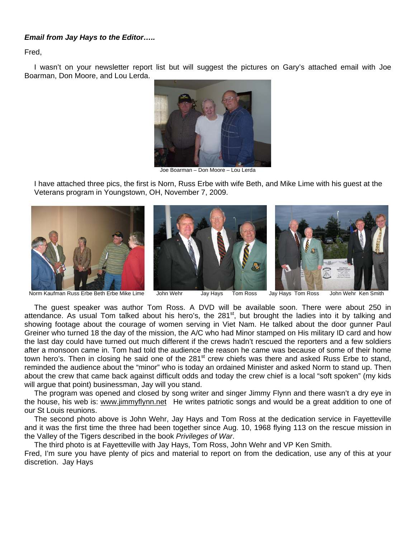#### *Email from Jay Hays to the Editor…..*

Fred,

I wasn't on your newsletter report list but will suggest the pictures on Gary's attached email with Joe Boarman, Don Moore, and Lou Lerda.



Joe Boarman – Don Moore – Lou Lerda

I have attached three pics, the first is Norn, Russ Erbe with wife Beth, and Mike Lime with his guest at the Veterans program in Youngstown, OH, November 7, 2009.



Norm Kaufman Russ Erbe Beth Erbe Mike Lime John Wehr Jay Hays Tom Ross Jay Hays Tom Ross John Wehr Ken Smith

The guest speaker was author Tom Ross. A DVD will be available soon. There were about 250 in attendance. As usual Tom talked about his hero's, the 281<sup>st</sup>, but brought the ladies into it by talking and showing footage about the courage of women serving in Viet Nam. He talked about the door gunner Paul Greiner who turned 18 the day of the mission, the A/C who had Minor stamped on His military ID card and how the last day could have turned out much different if the crews hadn't rescued the reporters and a few soldiers after a monsoon came in. Tom had told the audience the reason he came was because of some of their home town hero's. Then in closing he said one of the 281<sup>st</sup> crew chiefs was there and asked Russ Erbe to stand, reminded the audience about the "minor" who is today an ordained Minister and asked Norm to stand up. Then about the crew that came back against difficult odds and today the crew chief is a local "soft spoken" (my kids will argue that point) businessman, Jay will you stand.

The program was opened and closed by song writer and singer Jimmy Flynn and there wasn't a dry eye in the house, his web is: [www.jimmyflynn.net](http://www.jimmyflynn.net/) He writes patriotic songs and would be a great addition to one of our St Louis reunions.

The second photo above is John Wehr, Jay Hays and Tom Ross at the dedication service in Fayetteville and it was the first time the three had been together since Aug. 10, 1968 flying 113 on the rescue mission in the Valley of the Tigers described in the book *Privileges of War*.

The third photo is at Fayetteville with Jay Hays, Tom Ross, John Wehr and VP Ken Smith.

Fred, I'm sure you have plenty of pics and material to report on from the dedication, use any of this at your discretion. Jay Hays